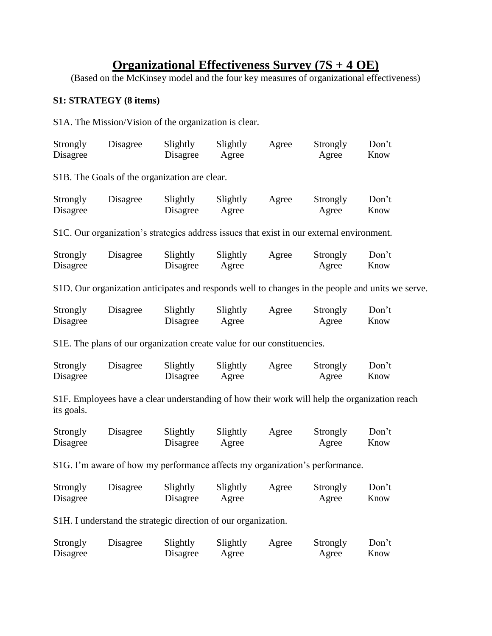# **Organizational Effectiveness Survey (7S + 4 OE)**

(Based on the McKinsey model and the four key measures of organizational effectiveness)

## **S1: STRATEGY (8 items)**

S1A. The Mission/Vision of the organization is clear.

| Strongly<br>Disagree | Disagree                                                                                  | Slightly<br>Disagree | Slightly<br>Agree | Agree | Strongly<br>Agree | Don't<br>Know                                                                                    |
|----------------------|-------------------------------------------------------------------------------------------|----------------------|-------------------|-------|-------------------|--------------------------------------------------------------------------------------------------|
|                      | S1B. The Goals of the organization are clear.                                             |                      |                   |       |                   |                                                                                                  |
| Strongly<br>Disagree | Disagree                                                                                  | Slightly<br>Disagree | Slightly<br>Agree | Agree | Strongly<br>Agree | Don't<br>Know                                                                                    |
|                      | S1C. Our organization's strategies address issues that exist in our external environment. |                      |                   |       |                   |                                                                                                  |
| Strongly<br>Disagree | Disagree                                                                                  | Slightly<br>Disagree | Slightly<br>Agree | Agree | Strongly<br>Agree | Don't<br>Know                                                                                    |
|                      |                                                                                           |                      |                   |       |                   | S1D. Our organization anticipates and responds well to changes in the people and units we serve. |
| Strongly<br>Disagree | Disagree                                                                                  | Slightly<br>Disagree | Slightly<br>Agree | Agree | Strongly<br>Agree | Don't<br>Know                                                                                    |
|                      | S1E. The plans of our organization create value for our constituencies.                   |                      |                   |       |                   |                                                                                                  |
| Strongly<br>Disagree | Disagree                                                                                  | Slightly<br>Disagree | Slightly<br>Agree | Agree | Strongly<br>Agree | Don't<br>Know                                                                                    |
| its goals.           |                                                                                           |                      |                   |       |                   | S1F. Employees have a clear understanding of how their work will help the organization reach     |
| Strongly<br>Disagree | Disagree                                                                                  | Slightly<br>Disagree | Slightly<br>Agree | Agree | Strongly<br>Agree | Don't<br>Know                                                                                    |
|                      | S1G. I'm aware of how my performance affects my organization's performance.               |                      |                   |       |                   |                                                                                                  |
| Strongly<br>Disagree | Disagree                                                                                  | Slightly<br>Disagree | Slightly<br>Agree | Agree | Strongly<br>Agree | Don't<br>Know                                                                                    |
|                      | S1H. I understand the strategic direction of our organization.                            |                      |                   |       |                   |                                                                                                  |
| Strongly<br>Disagree | Disagree                                                                                  | Slightly<br>Disagree | Slightly<br>Agree | Agree | Strongly<br>Agree | Don't<br>Know                                                                                    |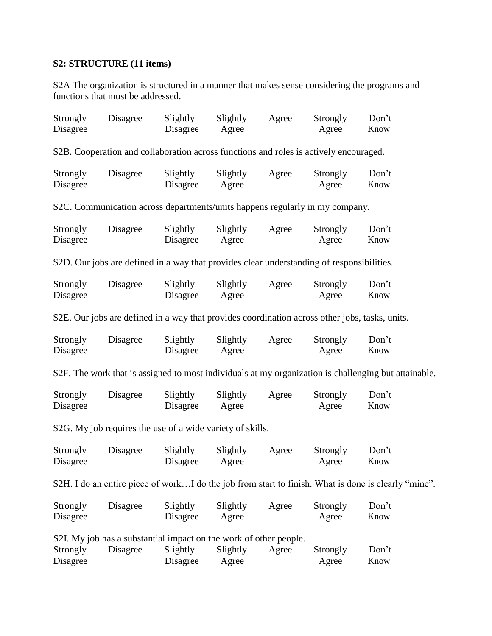## **S2: STRUCTURE (11 items)**

S2A The organization is structured in a manner that makes sense considering the programs and functions that must be addressed.

| Strongly<br>Disagree | Disagree                                                                                       | Slightly<br>Disagree | Slightly<br>Agree | Agree | Strongly<br>Agree | Don't<br>Know                                                                                        |
|----------------------|------------------------------------------------------------------------------------------------|----------------------|-------------------|-------|-------------------|------------------------------------------------------------------------------------------------------|
|                      | S2B. Cooperation and collaboration across functions and roles is actively encouraged.          |                      |                   |       |                   |                                                                                                      |
| Strongly<br>Disagree | Disagree                                                                                       | Slightly<br>Disagree | Slightly<br>Agree | Agree | Strongly<br>Agree | Don't<br>Know                                                                                        |
|                      | S2C. Communication across departments/units happens regularly in my company.                   |                      |                   |       |                   |                                                                                                      |
| Strongly<br>Disagree | Disagree                                                                                       | Slightly<br>Disagree | Slightly<br>Agree | Agree | Strongly<br>Agree | Don't<br>Know                                                                                        |
|                      | S2D. Our jobs are defined in a way that provides clear understanding of responsibilities.      |                      |                   |       |                   |                                                                                                      |
| Strongly<br>Disagree | Disagree                                                                                       | Slightly<br>Disagree | Slightly<br>Agree | Agree | Strongly<br>Agree | Don't<br>Know                                                                                        |
|                      | S2E. Our jobs are defined in a way that provides coordination across other jobs, tasks, units. |                      |                   |       |                   |                                                                                                      |
| Strongly<br>Disagree | Disagree                                                                                       | Slightly<br>Disagree | Slightly<br>Agree | Agree | Strongly<br>Agree | Don't<br>Know                                                                                        |
|                      |                                                                                                |                      |                   |       |                   | S2F. The work that is assigned to most individuals at my organization is challenging but attainable. |
| Strongly<br>Disagree | Disagree                                                                                       | Slightly<br>Disagree | Slightly<br>Agree | Agree | Strongly<br>Agree | Don't<br>Know                                                                                        |
|                      | S2G. My job requires the use of a wide variety of skills.                                      |                      |                   |       |                   |                                                                                                      |
| Strongly<br>Disagree | Disagree                                                                                       | Slightly<br>Disagree | Slightly<br>Agree | Agree | Strongly<br>Agree | Don't<br>Know                                                                                        |
|                      |                                                                                                |                      |                   |       |                   | S2H. I do an entire piece of workI do the job from start to finish. What is done is clearly "mine".  |
| Strongly<br>Disagree | Disagree                                                                                       | Slightly<br>Disagree | Slightly<br>Agree | Agree | Strongly<br>Agree | Don't<br>Know                                                                                        |
| Strongly<br>Disagree | S2I. My job has a substantial impact on the work of other people.<br>Disagree                  | Slightly<br>Disagree | Slightly<br>Agree | Agree | Strongly<br>Agree | Don't<br>Know                                                                                        |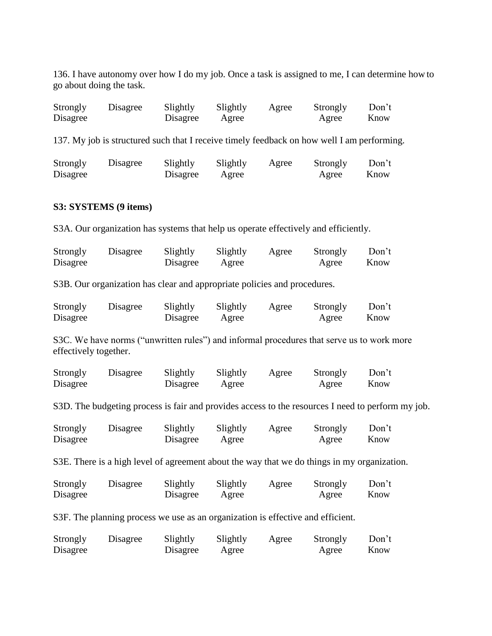136. I have autonomy over how I do my job. Once a task is assigned to me, I can determine how to go about doing the task.

| Strongly | Disagree | Slightly | Slightly | Agree | Strongly | Don't |
|----------|----------|----------|----------|-------|----------|-------|
| Disagree |          | Disagree | Agree    |       | Agree    | Know  |

137. My job is structured such that I receive timely feedback on how well I am performing.

| Strongly | Disagree | Slightly | Slightly | Agree | Strongly | Don't |
|----------|----------|----------|----------|-------|----------|-------|
| Disagree |          | Disagree | Agree    |       | Agree    | Know  |

#### **S3: SYSTEMS (9 items)**

S3A. Our organization has systems that help us operate effectively and efficiently.

| Strongly | Disagree | Slightly | Slightly | Agree | Strongly | Don't |
|----------|----------|----------|----------|-------|----------|-------|
| Disagree |          | Disagree | Agree    |       | Agree    | Know  |

S3B. Our organization has clear and appropriate policies and procedures.

| Strongly | Disagree | Slightly | Slightly | Agree | Strongly | Don't |
|----------|----------|----------|----------|-------|----------|-------|
| Disagree |          | Disagree | Agree    |       | Agree    | Know  |

S3C. We have norms ("unwritten rules") and informal procedures that serve us to work more effectively together.

| Strongly | Disagree | Slightly | Slightly | Agree | Strongly | Don't |
|----------|----------|----------|----------|-------|----------|-------|
| Disagree |          | Disagree | Agree    |       | Agree    | Know  |

S3D. The budgeting process is fair and provides access to the resources I need to perform my job.

| Strongly | Disagree | Slightly | Slightly | Agree | Strongly | Don't |
|----------|----------|----------|----------|-------|----------|-------|
| Disagree |          | Disagree | Agree    |       | Agree    | Know  |

S3E. There is a high level of agreement about the way that we do things in my organization.

| Strongly | Disagree | Slightly | Slightly | Agree | Strongly | Don't |
|----------|----------|----------|----------|-------|----------|-------|
| Disagree |          | Disagree | Agree    |       | Agree    | Know  |

S3F. The planning process we use as an organization is effective and efficient.

| Strongly | Disagree | Slightly | Slightly | Agree | Strongly | Don't |
|----------|----------|----------|----------|-------|----------|-------|
| Disagree |          | Disagree | Agree    |       | Agree    | Know  |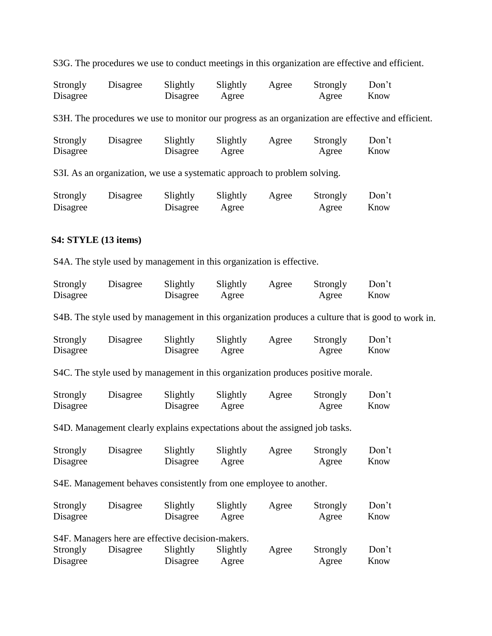S3G. The procedures we use to conduct meetings in this organization are effective and efficient.

| Strongly | Disagree | Slightly | Slightly | Agree | Strongly | Don't |
|----------|----------|----------|----------|-------|----------|-------|
| Disagree |          | Disagree | Agree    |       | Agree    | Know  |

S3H. The procedures we use to monitor our progress as an organization are effective and efficient.

| Strongly | Disagree | Slightly | Slightly | Agree | Strongly | Don't |
|----------|----------|----------|----------|-------|----------|-------|
| Disagree |          | Disagree | Agree    |       | Agree    | Know  |

S3I. As an organization, we use a systematic approach to problem solving.

| Strongly | Disagree | Slightly | Slightly | Agree | Strongly | Don't |
|----------|----------|----------|----------|-------|----------|-------|
| Disagree |          | Disagree | Agree    |       | Agree    | Know  |

#### **S4: STYLE (13 items)**

S4A. The style used by management in this organization is effective.

| Strongly | Disagree | Slightly | Slightly | Agree | Strongly | Don't |
|----------|----------|----------|----------|-------|----------|-------|
| Disagree |          | Disagree | Agree    |       | Agree    | Know  |

S4B. The style used by management in this organization produces a culture that is good to work in.

| Strongly | Disagree | Slightly | Slightly | Agree | Strongly | Don't |
|----------|----------|----------|----------|-------|----------|-------|
| Disagree |          | Disagree | Agree    |       | Agree    | Know  |

S4C. The style used by management in this organization produces positive morale.

| Strongly | Disagree | Slightly | Slightly | Agree | Strongly | Don't |
|----------|----------|----------|----------|-------|----------|-------|
| Disagree |          | Disagree | Agree    |       | Agree    | Know  |

S4D. Management clearly explains expectations about the assigned job tasks.

| Strongly | Disagree | Slightly | Slightly | Agree | Strongly | Don't |
|----------|----------|----------|----------|-------|----------|-------|
| Disagree |          | Disagree | Agree    |       | Agree    | Know  |

S4E. Management behaves consistently from one employee to another.

| Strongly | Disagree                                          | Slightly | Slightly | Agree | Strongly | Don't |
|----------|---------------------------------------------------|----------|----------|-------|----------|-------|
| Disagree |                                                   | Disagree | Agree    |       | Agree    | Know  |
|          |                                                   |          |          |       |          |       |
|          | S4F. Managers here are effective decision-makers. |          |          |       |          |       |
| Strongly | Disagree                                          | Slightly | Slightly | Agree | Strongly | Don't |
| Disagree |                                                   | Disagree | Agree    |       | Agree    | Know  |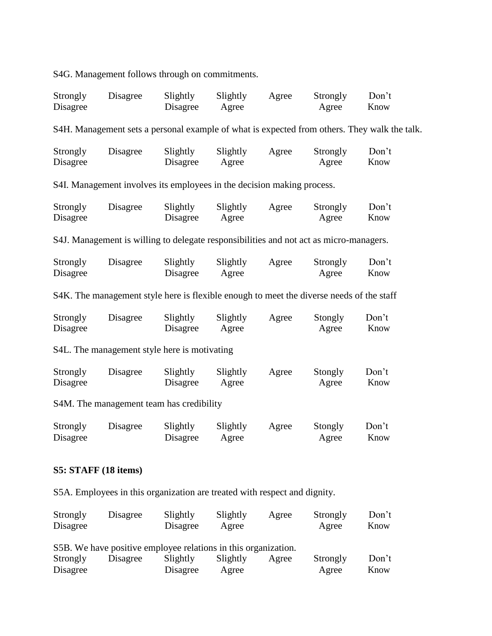S4G. Management follows through on commitments.

| Strongly<br>Disagree                     | Disagree                                                                                     | Slightly<br>Disagree | Slightly<br>Agree | Agree | Strongly<br>Agree | Don't<br>Know |  |  |  |
|------------------------------------------|----------------------------------------------------------------------------------------------|----------------------|-------------------|-------|-------------------|---------------|--|--|--|
|                                          | S4H. Management sets a personal example of what is expected from others. They walk the talk. |                      |                   |       |                   |               |  |  |  |
| Strongly<br>Disagree                     | Disagree                                                                                     | Slightly<br>Disagree | Slightly<br>Agree | Agree | Strongly<br>Agree | Don't<br>Know |  |  |  |
|                                          | S4I. Management involves its employees in the decision making process.                       |                      |                   |       |                   |               |  |  |  |
| Strongly<br>Disagree                     | Disagree                                                                                     | Slightly<br>Disagree | Slightly<br>Agree | Agree | Strongly<br>Agree | Don't<br>Know |  |  |  |
|                                          | S4J. Management is willing to delegate responsibilities and not act as micro-managers.       |                      |                   |       |                   |               |  |  |  |
| Strongly<br>Disagree                     | Disagree                                                                                     | Slightly<br>Disagree | Slightly<br>Agree | Agree | Strongly<br>Agree | Don't<br>Know |  |  |  |
|                                          | S4K. The management style here is flexible enough to meet the diverse needs of the staff     |                      |                   |       |                   |               |  |  |  |
| Strongly<br>Disagree                     | Disagree                                                                                     | Slightly<br>Disagree | Slightly<br>Agree | Agree | Stongly<br>Agree  | Don't<br>Know |  |  |  |
|                                          | S4L. The management style here is motivating                                                 |                      |                   |       |                   |               |  |  |  |
| Strongly<br>Disagree                     | Disagree                                                                                     | Slightly<br>Disagree | Slightly<br>Agree | Agree | Stongly<br>Agree  | Don't<br>Know |  |  |  |
| S4M. The management team has credibility |                                                                                              |                      |                   |       |                   |               |  |  |  |
| Strongly<br>Disagree                     | Disagree                                                                                     | Slightly<br>Disagree | Slightly<br>Agree | Agree | Stongly<br>Agree  | Don't<br>Know |  |  |  |

## **S5: STAFF (18 items)**

S5A. Employees in this organization are treated with respect and dignity.

| Strongly | Disagree                                                       | Slightly | Slightly | Agree | Strongly | Don't |
|----------|----------------------------------------------------------------|----------|----------|-------|----------|-------|
| Disagree |                                                                | Disagree | Agree    |       | Agree    | Know  |
|          |                                                                |          |          |       |          |       |
|          | S5B. We have positive employee relations in this organization. |          |          |       |          |       |
| Strongly | Disagree                                                       | Slightly | Slightly | Agree | Strongly | Don't |
| Disagree |                                                                | Disagree | Agree    |       | Agree    | Know  |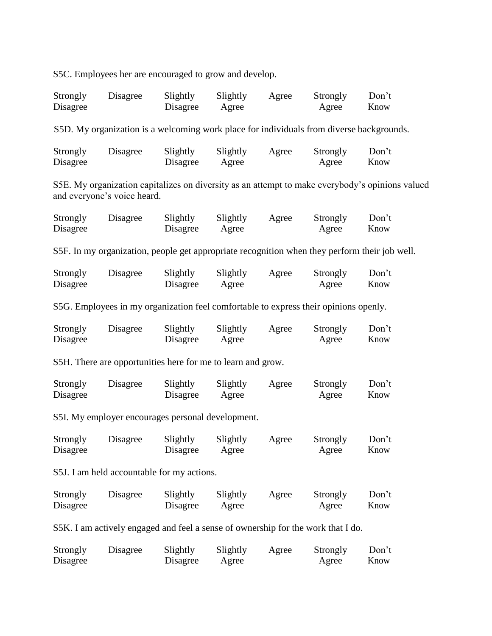S5C. Employees her are encouraged to grow and develop.

| Strongly<br>Disagree                                                             | Disagree                                                                                 | Slightly<br>Disagree | Slightly<br>Agree | Agree | Strongly<br>Agree | Don't<br>Know                                                                                   |  |
|----------------------------------------------------------------------------------|------------------------------------------------------------------------------------------|----------------------|-------------------|-------|-------------------|-------------------------------------------------------------------------------------------------|--|
|                                                                                  | S5D. My organization is a welcoming work place for individuals from diverse backgrounds. |                      |                   |       |                   |                                                                                                 |  |
| Strongly<br>Disagree                                                             | Disagree                                                                                 | Slightly<br>Disagree | Slightly<br>Agree | Agree | Strongly<br>Agree | Don't<br>Know                                                                                   |  |
|                                                                                  | and everyone's voice heard.                                                              |                      |                   |       |                   | S5E. My organization capitalizes on diversity as an attempt to make everybody's opinions valued |  |
| Strongly<br>Disagree                                                             | Disagree                                                                                 | Slightly<br>Disagree | Slightly<br>Agree | Agree | Strongly<br>Agree | Don't<br>Know                                                                                   |  |
|                                                                                  |                                                                                          |                      |                   |       |                   | S5F. In my organization, people get appropriate recognition when they perform their job well.   |  |
| Strongly<br>Disagree                                                             | Disagree                                                                                 | Slightly<br>Disagree | Slightly<br>Agree | Agree | Strongly<br>Agree | Don't<br>Know                                                                                   |  |
|                                                                                  | S5G. Employees in my organization feel comfortable to express their opinions openly.     |                      |                   |       |                   |                                                                                                 |  |
| Strongly<br>Disagree                                                             | Disagree                                                                                 | Slightly<br>Disagree | Slightly<br>Agree | Agree | Strongly<br>Agree | Don't<br>Know                                                                                   |  |
|                                                                                  | S5H. There are opportunities here for me to learn and grow.                              |                      |                   |       |                   |                                                                                                 |  |
| Strongly<br>Disagree                                                             | Disagree                                                                                 | Slightly<br>Disagree | Slightly<br>Agree | Agree | Strongly<br>Agree | Don't<br>Know                                                                                   |  |
|                                                                                  | S5I. My employer encourages personal development.                                        |                      |                   |       |                   |                                                                                                 |  |
| Strongly<br>Disagree                                                             | Disagree                                                                                 | Slightly<br>Disagree | Slightly<br>Agree | Agree | Strongly<br>Agree | Don't<br>Know                                                                                   |  |
|                                                                                  | S5J. I am held accountable for my actions.                                               |                      |                   |       |                   |                                                                                                 |  |
| Strongly<br>Disagree                                                             | Disagree                                                                                 | Slightly<br>Disagree | Slightly<br>Agree | Agree | Strongly<br>Agree | Don't<br>Know                                                                                   |  |
| S5K. I am actively engaged and feel a sense of ownership for the work that I do. |                                                                                          |                      |                   |       |                   |                                                                                                 |  |
| Strongly<br>Disagree                                                             | Disagree                                                                                 | Slightly<br>Disagree | Slightly<br>Agree | Agree | Strongly<br>Agree | Don't<br>Know                                                                                   |  |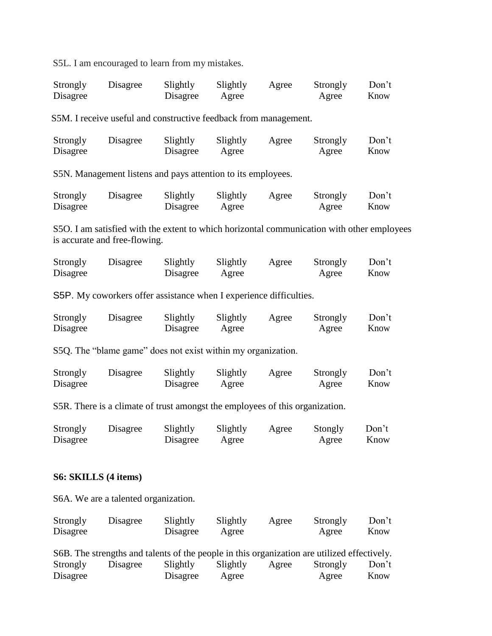S5L. I am encouraged to learn from my mistakes.

| Strongly | Disagree | Slightly | Slightly | Agree | Strongly | Don't |
|----------|----------|----------|----------|-------|----------|-------|
| Disagree |          | Disagree | Agree    |       | Agree    | Know  |

S5M. I receive useful and constructive feedback from management.

| Strongly | Disagree | Slightly | Slightly | Agree | Strongly | Don't |
|----------|----------|----------|----------|-------|----------|-------|
| Disagree |          | Disagree | Agree    |       | Agree    | Know  |

S5N. Management listens and pays attention to its employees.

| Strongly | Disagree | Slightly | Slightly | Agree | Strongly | Don't |
|----------|----------|----------|----------|-------|----------|-------|
| Disagree |          | Disagree | Agree    |       | Agree    | Know  |

S5O. I am satisfied with the extent to which horizontal communication with other employees is accurate and free-flowing.

| Strongly | Disagree | Slightly | Slightly | Agree | Strongly | Don't |
|----------|----------|----------|----------|-------|----------|-------|
| Disagree |          | Disagree | Agree    |       | Agree    | Know  |

S5P. My coworkers offer assistance when I experience difficulties.

| Strongly | Disagree | Slightly | Slightly | Agree | Strongly | Don't |
|----------|----------|----------|----------|-------|----------|-------|
| Disagree |          | Disagree | Agree    |       | Agree    | Know  |

S5Q. The "blame game" does not exist within my organization.

| Strongly | Disagree | Slightly | Slightly | Agree | Strongly | Don't |
|----------|----------|----------|----------|-------|----------|-------|
| Disagree |          | Disagree | Agree    |       | Agree    | Know  |

S5R. There is a climate of trust amongst the employees of this organization.

| Strongly | Disagree | Slightly | Slightly | Agree | Stongly | Don't |
|----------|----------|----------|----------|-------|---------|-------|
| Disagree |          | Disagree | Agree    |       | Agree   | Know  |

#### **S6: SKILLS (4 items)**

S6A. We are a talented organization.

| Strongly | Disagree | Slightly | Slightly | Agree | Strongly | Don't |
|----------|----------|----------|----------|-------|----------|-------|
| Disagree |          | Disagree | Agree    |       | Agree    | Know  |

|          | S6B. The strengths and talents of the people in this organization are utilized effectively. |          |          |       |          |       |
|----------|---------------------------------------------------------------------------------------------|----------|----------|-------|----------|-------|
| Strongly | Disagree                                                                                    | Slightly | Slightly | Agree | Strongly | Don't |
| Disagree |                                                                                             | Disagree | Agree    |       | Agree    | Know  |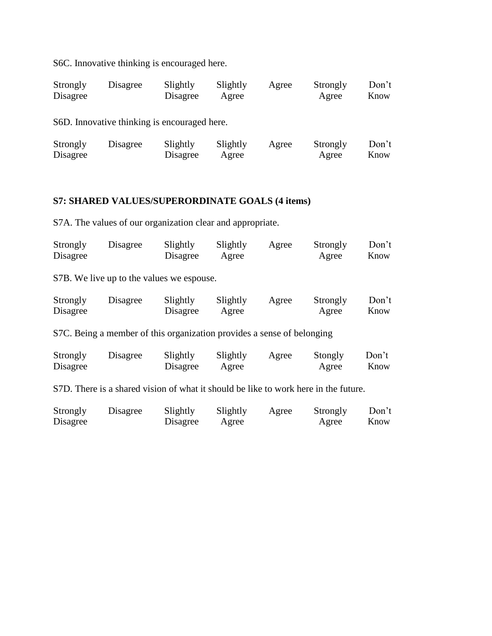S6C. Innovative thinking is encouraged here.

| Strongly | Disagree | Slightly | Slightly | Agree | Strongly | Don't |
|----------|----------|----------|----------|-------|----------|-------|
| Disagree |          | Disagree | Agree    |       | Agree    | Know  |

S6D. Innovative thinking is encouraged here.

| Strongly | Disagree | Slightly | Slightly | Agree | Strongly | Don't |
|----------|----------|----------|----------|-------|----------|-------|
| Disagree |          | Disagree | Agree    |       | Agree    | Know  |

## **S7: SHARED VALUES/SUPERORDINATE GOALS (4 items)**

S7A. The values of our organization clear and appropriate.

| Strongly | Disagree | Slightly | Slightly | Agree | Strongly | Don't |
|----------|----------|----------|----------|-------|----------|-------|
| Disagree |          | Disagree | Agree    |       | Agree    | Know  |

S7B. We live up to the values we espouse.

| Strongly | Disagree | Slightly | Slightly | Agree | Strongly | Don't |
|----------|----------|----------|----------|-------|----------|-------|
| Disagree |          | Disagree | Agree    |       | Agree    | Know  |

S7C. Being a member of this organization provides a sense of belonging

| Strongly | Disagree | Slightly | Slightly | Agree | Stongly | Don't |
|----------|----------|----------|----------|-------|---------|-------|
| Disagree |          | Disagree | Agree    |       | Agree   | Know  |

S7D. There is a shared vision of what it should be like to work here in the future.

| Strongly | Disagree | Slightly | Slightly | Agree | Strongly | Don't |
|----------|----------|----------|----------|-------|----------|-------|
| Disagree |          | Disagree | Agree    |       | Agree    | Know  |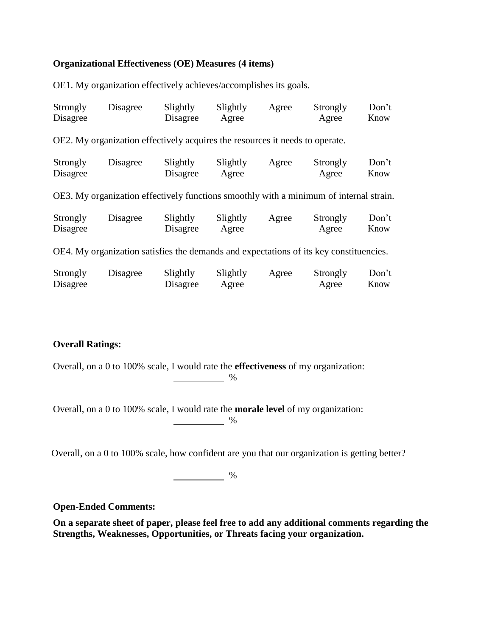### **Organizational Effectiveness (OE) Measures (4 items)**

OE1. My organization effectively achieves/accomplishes its goals.

| Strongly<br>Disagree | Disagree                                                                               | Slightly<br>Disagree | Slightly<br>Agree | Agree | Strongly<br>Agree | Don't<br>Know |
|----------------------|----------------------------------------------------------------------------------------|----------------------|-------------------|-------|-------------------|---------------|
|                      | OE2. My organization effectively acquires the resources it needs to operate.           |                      |                   |       |                   |               |
| Strongly<br>Disagree | Disagree                                                                               | Slightly<br>Disagree | Slightly<br>Agree | Agree | Strongly<br>Agree | Don't<br>Know |
|                      | OE3. My organization effectively functions smoothly with a minimum of internal strain. |                      |                   |       |                   |               |
| Strongly<br>Disagree | Disagree                                                                               | Slightly<br>Disagree | Slightly<br>Agree | Agree | Strongly<br>Agree | Don't<br>Know |
|                      | OE4. My organization satisfies the demands and expectations of its key constituencies. |                      |                   |       |                   |               |
| Strongly<br>Disagree | Disagree                                                                               | Slightly<br>Disagree | Slightly<br>Agree | Agree | Strongly<br>Agree | Don't<br>Know |

## **Overall Ratings:**

Overall, on a 0 to 100% scale, I would rate the **effectiveness** of my organization:

 $\sim$  %

Overall, on a 0 to 100% scale, I would rate the **morale level** of my organization:

%

Overall, on a 0 to 100% scale, how confident are you that our organization is getting better?

 $\sim$  %

**Open-Ended Comments:**

**On a separate sheet of paper, please feel free to add any additional comments regarding the Strengths, Weaknesses, Opportunities, or Threats facing your organization.**